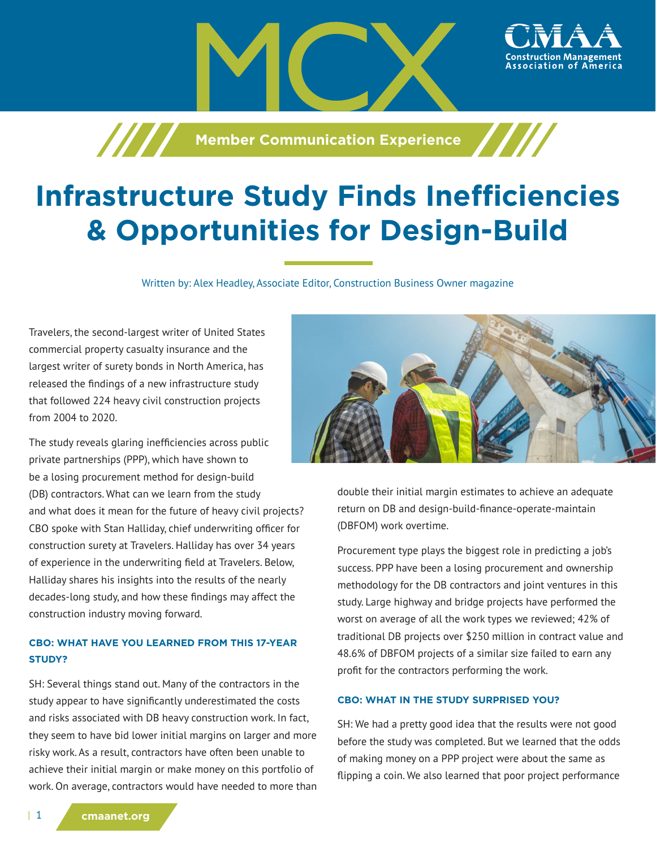



Written by: Alex Headley, Associate Editor, Construction Business Owner magazine

Travelers, the second-largest writer of United States commercial property casualty insurance and the largest writer of surety bonds in North America, has released the findings of a new infrastructure study that followed 224 heavy civil construction projects from 2004 to 2020.

The study reveals glaring inefficiencies across public private partnerships (PPP), which have shown to be a losing procurement method for design-build (DB) contractors. What can we learn from the study and what does it mean for the future of heavy civil projects? CBO spoke with Stan Halliday, chief underwriting officer for construction surety at Travelers. Halliday has over 34 years of experience in the underwriting field at Travelers. Below, Halliday shares his insights into the results of the nearly decades-long study, and how these findings may affect the construction industry moving forward.

## **CBO: WHAT HAVE YOU LEARNED FROM THIS 17-YEAR STUDY?**

SH: Several things stand out. Many of the contractors in the study appear to have significantly underestimated the costs and risks associated with DB heavy construction work. In fact, they seem to have bid lower initial margins on larger and more risky work. As a result, contractors have often been unable to achieve their initial margin or make money on this portfolio of work. On average, contractors would have needed to more than



ssociation of

double their initial margin estimates to achieve an adequate return on DB and design-build-finance-operate-maintain (DBFOM) work overtime.

Procurement type plays the biggest role in predicting a job's success. PPP have been a losing procurement and ownership methodology for the DB contractors and joint ventures in this study. Large highway and bridge projects have performed the worst on average of all the work types we reviewed; 42% of traditional DB projects over \$250 million in contract value and 48.6% of DBFOM projects of a similar size failed to earn any profit for the contractors performing the work.

#### **CBO: WHAT IN THE STUDY SURPRISED YOU?**

SH: We had a pretty good idea that the results were not good before the study was completed. But we learned that the odds of making money on a PPP project were about the same as flipping a coin. We also learned that poor project performance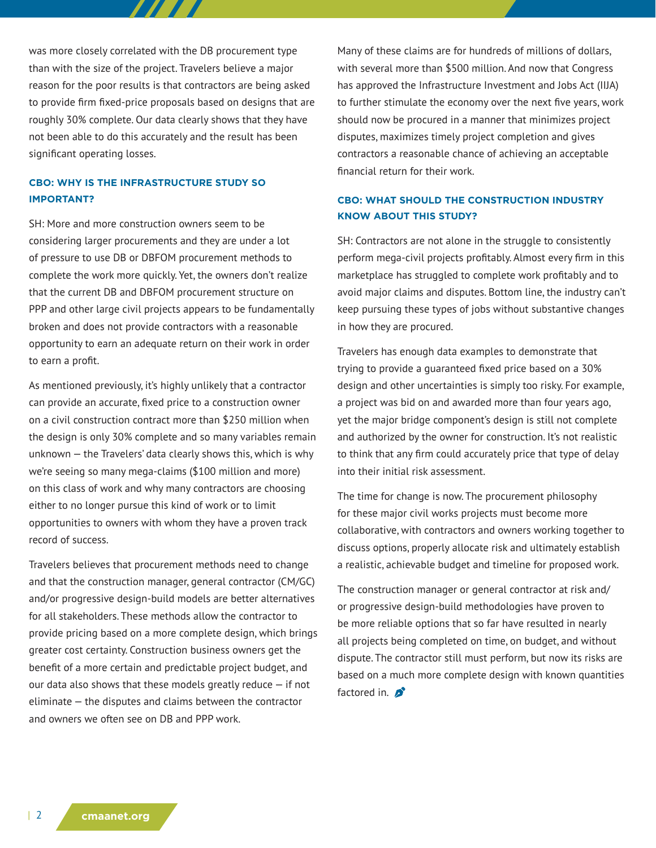was more closely correlated with the DB procurement type than with the size of the project. Travelers believe a major reason for the poor results is that contractors are being asked to provide firm fixed-price proposals based on designs that are roughly 30% complete. Our data clearly shows that they have not been able to do this accurately and the result has been significant operating losses.

 $\boldsymbol{H}$ 

### **CBO: WHY IS THE INFRASTRUCTURE STUDY SO IMPORTANT?**

SH: More and more construction owners seem to be considering larger procurements and they are under a lot of pressure to use DB or DBFOM procurement methods to complete the work more quickly. Yet, the owners don't realize that the current DB and DBFOM procurement structure on PPP and other large civil projects appears to be fundamentally broken and does not provide contractors with a reasonable opportunity to earn an adequate return on their work in order to earn a profit.

As mentioned previously, it's highly unlikely that a contractor can provide an accurate, fixed price to a construction owner on a civil construction contract more than \$250 million when the design is only 30% complete and so many variables remain unknown — the Travelers' data clearly shows this, which is why we're seeing so many mega-claims (\$100 million and more) on this class of work and why many contractors are choosing either to no longer pursue this kind of work or to limit opportunities to owners with whom they have a proven track record of success.

Travelers believes that procurement methods need to change and that the construction manager, general contractor (CM/GC) and/or progressive design-build models are better alternatives for all stakeholders. These methods allow the contractor to provide pricing based on a more complete design, which brings greater cost certainty. Construction business owners get the benefit of a more certain and predictable project budget, and our data also shows that these models greatly reduce  $-$  if not eliminate — the disputes and claims between the contractor and owners we often see on DB and PPP work.

Many of these claims are for hundreds of millions of dollars, with several more than \$500 million. And now that Congress has approved the Infrastructure Investment and Jobs Act (IIJA) to further stimulate the economy over the next five years, work should now be procured in a manner that minimizes project disputes, maximizes timely project completion and gives contractors a reasonable chance of achieving an acceptable financial return for their work.

## **CBO: WHAT SHOULD THE CONSTRUCTION INDUSTRY KNOW ABOUT THIS STUDY?**

SH: Contractors are not alone in the struggle to consistently perform mega-civil projects profitably. Almost every firm in this marketplace has struggled to complete work profitably and to avoid major claims and disputes. Bottom line, the industry can't keep pursuing these types of jobs without substantive changes in how they are procured.

Travelers has enough data examples to demonstrate that trying to provide a guaranteed fixed price based on a 30% design and other uncertainties is simply too risky. For example, a project was bid on and awarded more than four years ago, yet the major bridge component's design is still not complete and authorized by the owner for construction. It's not realistic to think that any firm could accurately price that type of delay into their initial risk assessment.

The time for change is now. The procurement philosophy for these major civil works projects must become more collaborative, with contractors and owners working together to discuss options, properly allocate risk and ultimately establish a realistic, achievable budget and timeline for proposed work.

The construction manager or general contractor at risk and/ or progressive design-build methodologies have proven to be more reliable options that so far have resulted in nearly all projects being completed on time, on budget, and without dispute. The contractor still must perform, but now its risks are based on a much more complete design with known quantities factored in.